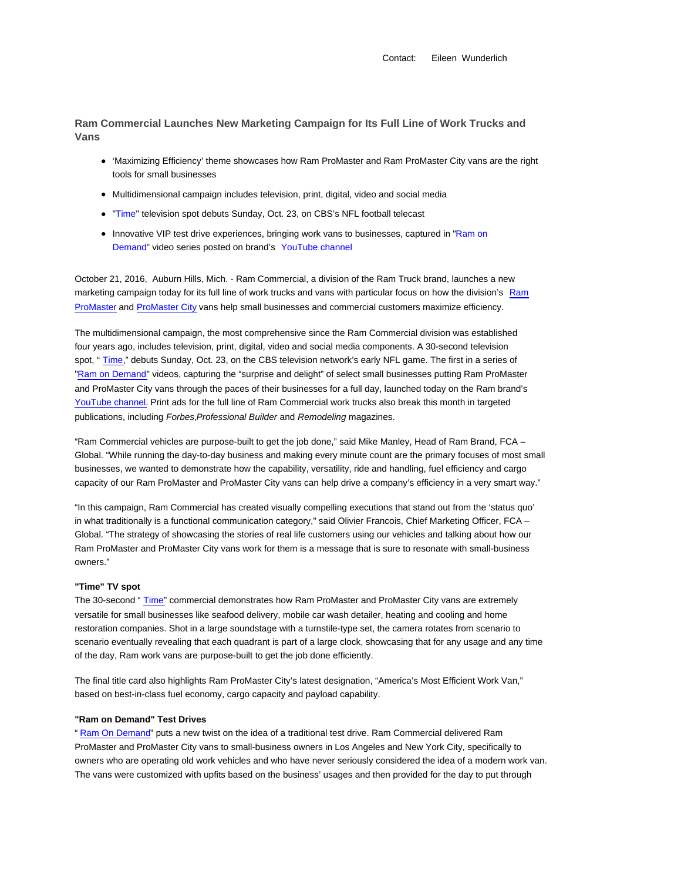Contact: Eileen Wunderlich

**Ram Commercial Launches New Marketing Campaign for Its Full Line of Work Trucks and Vans**

- 'Maximizing Efficiency' theme showcases how Ram ProMaster and Ram ProMaster City vans are the right tools for small businesses
- Multidimensional campaign includes television, print, digital, video and social media
- **"Time" television spot debuts Sunday, Oct. 23, on CBS's NFL football telecast**
- Innovative VIP test drive experiences, bringing work vans to businesses, captured in "Ram on Demand" video series posted on brand's YouTube channel

October 21, 2016, Auburn Hills, Mich. - Ram Commercial, a division of the Ram Truck brand, launches a new marketing campaign today for its full line of work trucks and vans with particular focus on how the division's Ram ProMaster and ProMaster City vans help small businesses and commercial customers maximize efficiency.

The multidimensional campaign, the most comprehensive since the Ram Commercial division was established four years ago, includes television, print, digital, video and social media components. A 30-second television spot, "Time," debuts Sunday, Oct. 23, on the CBS television network's early NFL game. The first in a series of "Ram on Demand" videos, capturing the "surprise and delight" of select small businesses putting Ram ProMaster and ProMaster City vans through the paces of their businesses for a full day, launched today on the Ram brand's YouTube channel. Print ads for the full line of Ram Commercial work trucks also break this month in targeted publications, including Forbes, Professional Builder and Remodeling magazines.

"Ram Commercial vehicles are purpose-built to get the job done," said Mike Manley, Head of Ram Brand, FCA – Global. "While running the day-to-day business and making every minute count are the primary focuses of most small businesses, we wanted to demonstrate how the capability, versatility, ride and handling, fuel efficiency and cargo capacity of our Ram ProMaster and ProMaster City vans can help drive a company's efficiency in a very smart way."

"In this campaign, Ram Commercial has created visually compelling executions that stand out from the 'status quo' in what traditionally is a functional communication category," said Olivier Francois, Chief Marketing Officer, FCA -Global. "The strategy of showcasing the stories of real life customers using our vehicles and talking about how our Ram ProMaster and ProMaster City vans work for them is a message that is sure to resonate with small-business owners."

# **"Time" TV spot**

The 30-second " Time" commercial demonstrates how Ram ProMaster and ProMaster City vans are extremely versatile for small businesses like seafood delivery, mobile car wash detailer, heating and cooling and home restoration companies. Shot in a large soundstage with a turnstile-type set, the camera rotates from scenario to scenario eventually revealing that each quadrant is part of a large clock, showcasing that for any usage and any time of the day, Ram work vans are purpose-built to get the job done efficiently.

The final title card also highlights Ram ProMaster City's latest designation, "America's Most Efficient Work Van," based on best-in-class fuel economy, cargo capacity and payload capability.

## **"Ram on Demand" Test Drives**

" Ram On Demand" puts a new twist on the idea of a traditional test drive. Ram Commercial delivered Ram ProMaster and ProMaster City vans to small-business owners in Los Angeles and New York City, specifically to owners who are operating old work vehicles and who have never seriously considered the idea of a modern work van. The vans were customized with upfits based on the business' usages and then provided for the day to put through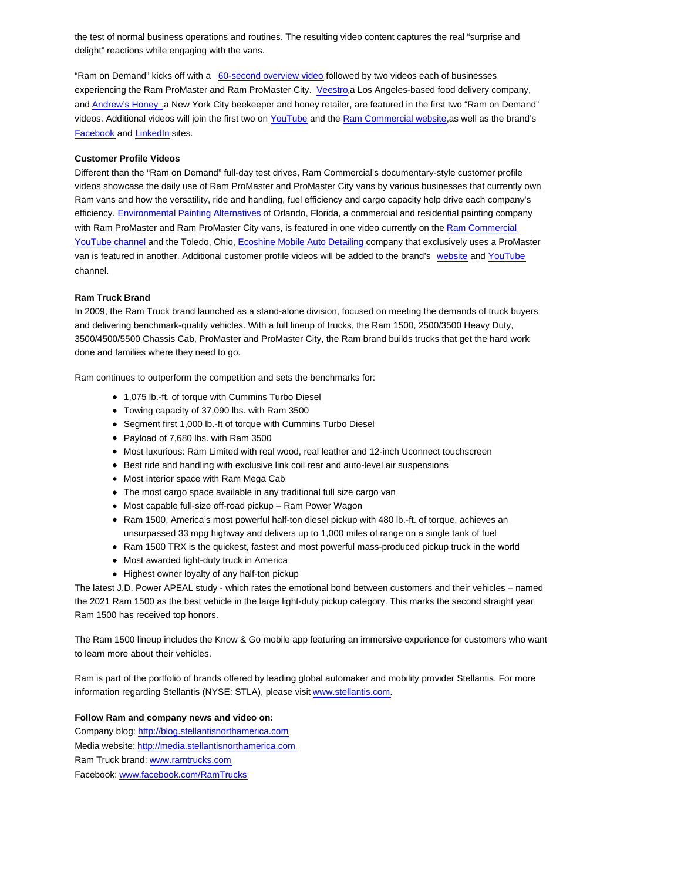the test of normal business operations and routines. The resulting video content captures the real "surprise and delight" reactions while engaging with the vans.

"Ram on Demand" kicks off with a 60-second overview video followed by two videos each of businesses experiencing the Ram ProMaster and Ram ProMaster City. Veestro,a Los Angeles-based food delivery company, and Andrew's Honey ,a New York City beekeeper and honey retailer, are featured in the first two "Ram on Demand" videos. Additional videos will join the first two on YouTube and the Ram Commercial website,as well as the brand's Facebook and LinkedIn sites.

## **Customer Profile Videos**

Different than the "Ram on Demand" full-day test drives, Ram Commercial's documentary-style customer profile videos showcase the daily use of Ram ProMaster and ProMaster City vans by various businesses that currently own Ram vans and how the versatility, ride and handling, fuel efficiency and cargo capacity help drive each company's efficiency. Environmental Painting Alternatives of Orlando, Florida, a commercial and residential painting company with Ram ProMaster and Ram ProMaster City vans, is featured in one video currently on the Ram Commercial YouTube channel and the Toledo, Ohio, Ecoshine Mobile Auto Detailing company that exclusively uses a ProMaster van is featured in another. Additional customer profile videos will be added to the brand's website and YouTube channel.

#### **Ram Truck Brand**

In 2009, the Ram Truck brand launched as a stand-alone division, focused on meeting the demands of truck buyers and delivering benchmark-quality vehicles. With a full lineup of trucks, the Ram 1500, 2500/3500 Heavy Duty, 3500/4500/5500 Chassis Cab, ProMaster and ProMaster City, the Ram brand builds trucks that get the hard work done and families where they need to go.

Ram continues to outperform the competition and sets the benchmarks for:

- 1,075 lb.-ft. of torque with Cummins Turbo Diesel
- Towing capacity of 37,090 lbs. with Ram 3500
- Segment first 1,000 lb.-ft of torque with Cummins Turbo Diesel
- Payload of 7,680 lbs. with Ram 3500
- Most luxurious: Ram Limited with real wood, real leather and 12-inch Uconnect touchscreen
- Best ride and handling with exclusive link coil rear and auto-level air suspensions
- Most interior space with Ram Mega Cab
- The most cargo space available in any traditional full size cargo van
- Most capable full-size off-road pickup Ram Power Wagon
- Ram 1500, America's most powerful half-ton diesel pickup with 480 lb.-ft. of torque, achieves an unsurpassed 33 mpg highway and delivers up to 1,000 miles of range on a single tank of fuel
- Ram 1500 TRX is the quickest, fastest and most powerful mass-produced pickup truck in the world
- Most awarded light-duty truck in America
- Highest owner loyalty of any half-ton pickup

The latest J.D. Power APEAL study - which rates the emotional bond between customers and their vehicles – named the 2021 Ram 1500 as the best vehicle in the large light-duty pickup category. This marks the second straight year Ram 1500 has received top honors.

The Ram 1500 lineup includes the Know & Go mobile app featuring an immersive experience for customers who want to learn more about their vehicles.

Ram is part of the portfolio of brands offered by leading global automaker and mobility provider Stellantis. For more information regarding Stellantis (NYSE: STLA), please visit www.stellantis.com.

#### **Follow Ram and company news and video on:**

Company blog: http://blog.stellantisnorthamerica.com Media website: http://media.stellantisnorthamerica.com Ram Truck brand: www.ramtrucks.com Facebook: www.facebook.com/RamTrucks